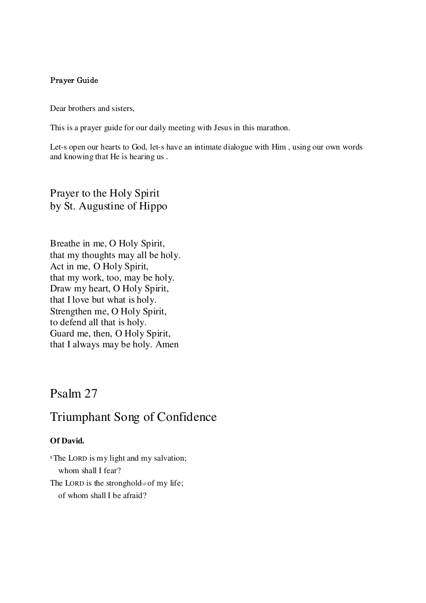#### Prayer Guide

Dear brothers and sisters,

This is a prayer guide for our daily meeting with Jesus in this marathon.

Let-s open our hearts to God, let-s have an intimate dialogue with Him , using our own words and knowing that He is hearing us .

Prayer to the Holy Spirit by St. Augustine of Hippo

Breathe in me, O Holy Spirit, that my thoughts may all be holy. Act in me, O Holy Spirit, that my work, too, may be holy. Draw my heart, O Holy Spirit, that I love but what is holy. Strengthen me, O Holy Spirit, to defend all that is holy. Guard me, then, O Holy Spirit, that I always may be holy. Amen

### Psalm 27

## Triumphant Song of Confidence

#### **Of David.**

**<sup>1</sup>**The LORD is my light and my salvation; whom shall I fear?

The LORD is the stronghold $\omega$  of my life; of whom shall I be afraid?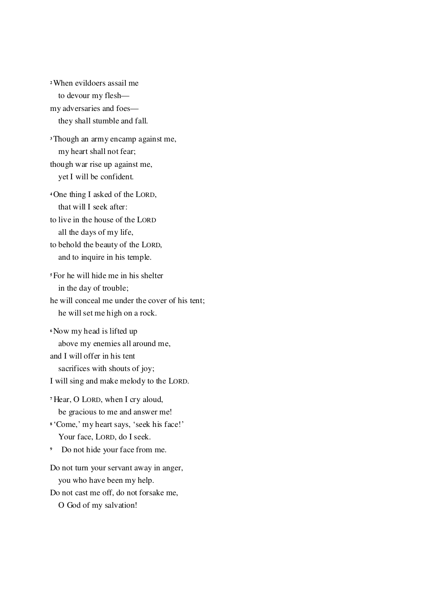**<sup>2</sup>**When evildoers assail me to devour my flesh my adversaries and foes they shall stumble and fall.

**<sup>3</sup>**Though an army encamp against me, my heart shall not fear; though war rise up against me, yet I will be confident.

**<sup>4</sup>**One thing I asked of the LORD, that will I seek after:

to live in the house of the LORD all the days of my life,

to behold the beauty of the LORD, and to inquire in his temple.

**<sup>5</sup>**For he will hide me in his shelter in the day of trouble; he will conceal me under the cover of his tent; he will set me high on a rock.

**<sup>6</sup>**Now my head is lifted up above my enemies all around me, and I will offer in his tent sacrifices with shouts of joy; I will sing and make melody to the LORD.

**<sup>7</sup>**Hear, O LORD, when I cry aloud, be gracious to me and answer me!

**<sup>8</sup>**'Come,' my heart says, 'seek his face!' Your face, LORD, do I seek.

**9**  Do not hide your face from me.

Do not turn your servant away in anger, you who have been my help.

Do not cast me off, do not forsake me,

O God of my salvation!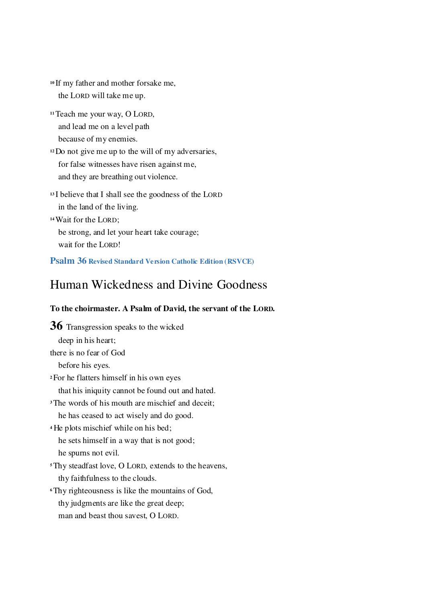- **<sup>10</sup>**If my father and mother forsake me, the LORD will take me up.
- **<sup>11</sup>**Teach me your way, O LORD, and lead me on a level path because of my enemies.

**<sup>12</sup>**Do not give me up to the will of my adversaries, for false witnesses have risen against me, and they are breathing out violence.

**<sup>13</sup>**I believe that I shall see the goodness of the LORD in the land of the living.

**<sup>14</sup>**Wait for the LORD;

 be strong, and let your heart take courage; wait for the LORD!

**Psalm 36 Revised Standard Version Catholic Edition (RSVCE)**

# Human Wickedness and Divine Goodness

#### **To the choirmaster. A Psalm of David, the servant of the LORD.**

**36** Transgression speaks to the wicked

deep in his heart;

there is no fear of God

before his eyes.

**<sup>2</sup>**For he flatters himself in his own eyes

that his iniquity cannot be found out and hated.

- <sup>3</sup>The words of his mouth are mischief and deceit; he has ceased to act wisely and do good.
- **<sup>4</sup>**He plots mischief while on his bed; he sets himself in a way that is not good; he spurns not evil.
- **<sup>5</sup>**Thy steadfast love, O LORD, extends to the heavens, thy faithfulness to the clouds.
- **<sup>6</sup>**Thy righteousness is like the mountains of God, thy judgments are like the great deep; man and beast thou savest, O LORD.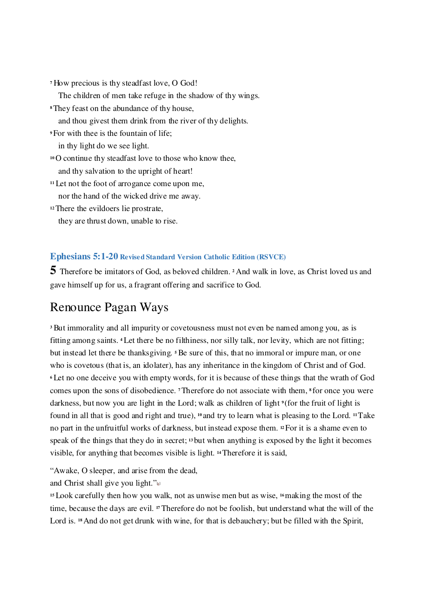**<sup>7</sup>**How precious is thy steadfast love, O God! The children of men take refuge in the shadow of thy wings. **<sup>8</sup>**They feast on the abundance of thy house, and thou givest them drink from the river of thy delights. **<sup>9</sup>**For with thee is the fountain of life; in thy light do we see light. **<sup>10</sup>**O continue thy steadfast love to those who know thee, and thy salvation to the upright of heart! **<sup>11</sup>**Let not the foot of arrogance come upon me, nor the hand of the wicked drive me away. **<sup>12</sup>**There the evildoers lie prostrate,

they are thrust down, unable to rise.

#### **Ephesians 5:1-20 Revised Standard Version Catholic Edition (RSVCE)**

**5** Therefore be imitators of God, as beloved children. **<sup>2</sup>**And walk in love, as Christ loved us and gave himself up for us, a fragrant offering and sacrifice to God.

### Renounce Pagan Ways

**<sup>3</sup>**But immorality and all impurity or covetousness must not even be named among you, as is fitting among saints. **4** Let there be no filthiness, nor silly talk, nor levity, which are not fitting; but instead let there be thanksgiving. **5** Be sure of this, that no immoral or impure man, or one who is covetous (that is, an idolater), has any inheritance in the kingdom of Christ and of God. **<sup>6</sup>**Let no one deceive you with empty words, for it is because of these things that the wrath of God comes upon the sons of disobedience. **7** Therefore do not associate with them, **8** for once you were darkness, but now you are light in the Lord; walk as children of light  $9$  (for the fruit of light is found in all that is good and right and true), **10** and try to learn what is pleasing to the Lord. **11** Take no part in the unfruitful works of darkness, but instead expose them. **12** For it is a shame even to speak of the things that they do in secret; **13** but when anything is exposed by the light it becomes visible, for anything that becomes visible is light. **<sup>14</sup>**Therefore it is said,

"Awake, O sleeper, and arise from the dead,

and Christ shall give you light." $\Box$ 

**<sup>15</sup>**Look carefully then how you walk, not as unwise men but as wise, **16** making the most of the time, because the days are evil. **17** Therefore do not be foolish, but understand what the will of the Lord is. <sup>18</sup> And do not get drunk with wine, for that is debauchery; but be filled with the Spirit,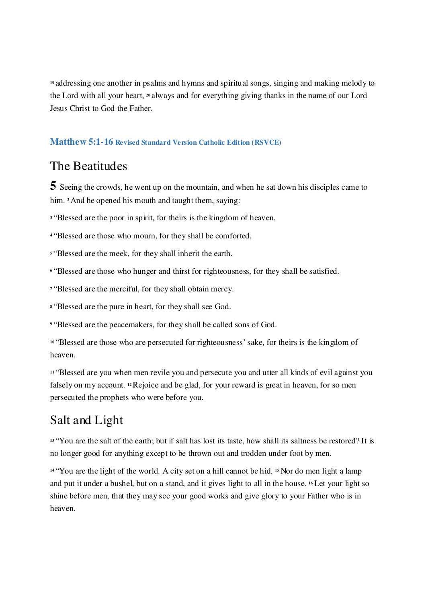**<sup>19</sup>**addressing one another in psalms and hymns and spiritual songs, singing and making melody to the Lord with all your heart, **20** always and for everything giving thanks in the name of our Lord Jesus Christ to God the Father.

#### **Matthew 5:1-16 Revised Standard Version Catholic Edition (RSVCE)**

### The Beatitudes

**5** Seeing the crowds, he went up on the mountain, and when he sat down his disciples came to him. <sup>2</sup> And he opened his mouth and taught them, saying:

**<sup>3</sup>**"Blessed are the poor in spirit, for theirs is the kingdom of heaven.

**<sup>4</sup>**"Blessed are those who mourn, for they shall be comforted.

**<sup>5</sup>**"Blessed are the meek, for they shall inherit the earth.

**<sup>6</sup>**"Blessed are those who hunger and thirst for righteousness, for they shall be satisfied.

**<sup>7</sup>**"Blessed are the merciful, for they shall obtain mercy.

**<sup>8</sup>**"Blessed are the pure in heart, for they shall see God.

**<sup>9</sup>**"Blessed are the peacemakers, for they shall be called sons of God.

**<sup>10</sup>**"Blessed are those who are persecuted for righteousness' sake, for theirs is the kingdom of heaven.

**<sup>11</sup>**"Blessed are you when men revile you and persecute you and utter all kinds of evil against you falsely on my account. **12** Rejoice and be glad, for your reward is great in heaven, for so men persecuted the prophets who were before you.

# Salt and Light

**<sup>13</sup>**"You are the salt of the earth; but if salt has lost its taste, how shall its saltness be restored? It is no longer good for anything except to be thrown out and trodden under foot by men.

**<sup>14</sup>**"You are the light of the world. A city set on a hill cannot be hid. **15** Nor do men light a lamp and put it under a bushel, but on a stand, and it gives light to all in the house. **16** Let your light so shine before men, that they may see your good works and give glory to your Father who is in heaven.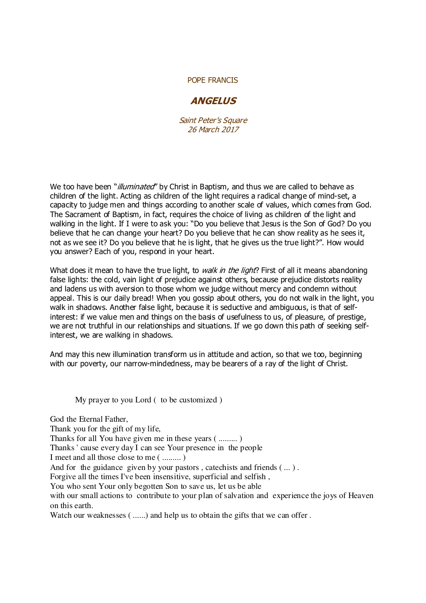POPE FRANCIS

### **ANGELUS**

Saint Peter's Square 26 March 2017

We too have been "*illuminated*" by Christ in Baptism, and thus we are called to behave as children of the light. Acting as children of the light requires a radical change of mind-set, a capacity to judge men and things according to another scale of values, which comes from God. The Sacrament of Baptism, in fact, requires the choice of living as children of the light and walking in the light. If I were to ask you: "Do you believe that Jesus is the Son of God? Do you believe that he can change your heart? Do you believe that he can show reality as he sees it, not as we see it? Do you believe that he is light, that he gives us the true light?". How would you answer? Each of you, respond in your heart.

What does it mean to have the true light, to *walk in the light*? First of all it means abandoning false lights: the cold, vain light of prejudice against others, because prejudice distorts reality and ladens us with aversion to those whom we judge without mercy and condemn without appeal. This is our daily bread! When you gossip about others, you do not walk in the light, you walk in shadows. Another false light, because it is seductive and ambiguous, is that of selfinterest: if we value men and things on the basis of usefulness to us, of pleasure, of prestige, we are not truthful in our relationships and situations. If we go down this path of seeking selfinterest, we are walking in shadows.

And may this new illumination transform us in attitude and action, so that we too, beginning with our poverty, our narrow-mindedness, may be bearers of a ray of the light of Christ.

My prayer to you Lord ( to be customized )

God the Eternal Father,

Thank you for the gift of my life,

Thanks for all You have given me in these years ( ......... )

Thanks ' cause every day I can see Your presence in the people

I meet and all those close to me ( ......... )

And for the guidance given by your pastors, cate chists and friends  $(\dots)$ .

Forgive all the times I've been insensitive, superficial and selfish ,

You who sent Your only begotten Son to save us, let us be able

with our small actions to contribute to your plan of salvation and experience the joys of Heaven on this earth.

Watch our weaknesses (......) and help us to obtain the gifts that we can offer.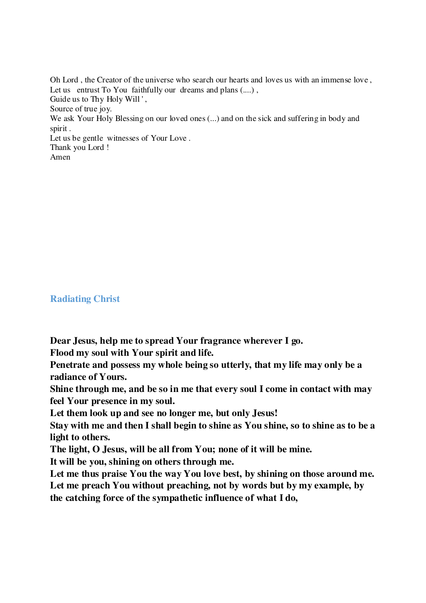Oh Lord , the Creator of the universe who search our hearts and loves us with an immense love , Let us entrust To You faithfully our dreams and plans  $(...)$ , Guide us to Thy Holy Will ' , Source of true joy. We ask Your Holy Blessing on our loved ones (...) and on the sick and suffering in body and spirit . Let us be gentle witnesses of Your Love . Thank you Lord ! Amen

**Radiating Christ** 

**Dear Jesus, help me to spread Your fragrance wherever I go.**

**Flood my soul with Your spirit and life.**

**Penetrate and possess my whole being so utterly, that my life may only be a radiance of Yours.**

**Shine through me, and be so in me that every soul I come in contact with may feel Your presence in my soul.**

**Let them look up and see no longer me, but only Jesus!**

**Stay with me and then I shall begin to shine as You shine, so to shine as to be a light to others.**

**The light, O Jesus, will be all from You; none of it will be mine.**

**It will be you, shining on others through me.**

**Let me thus praise You the way You love best, by shining on those around me. Let me preach You without preaching, not by words but by my example, by the catching force of the sympathetic influence of what I do,**